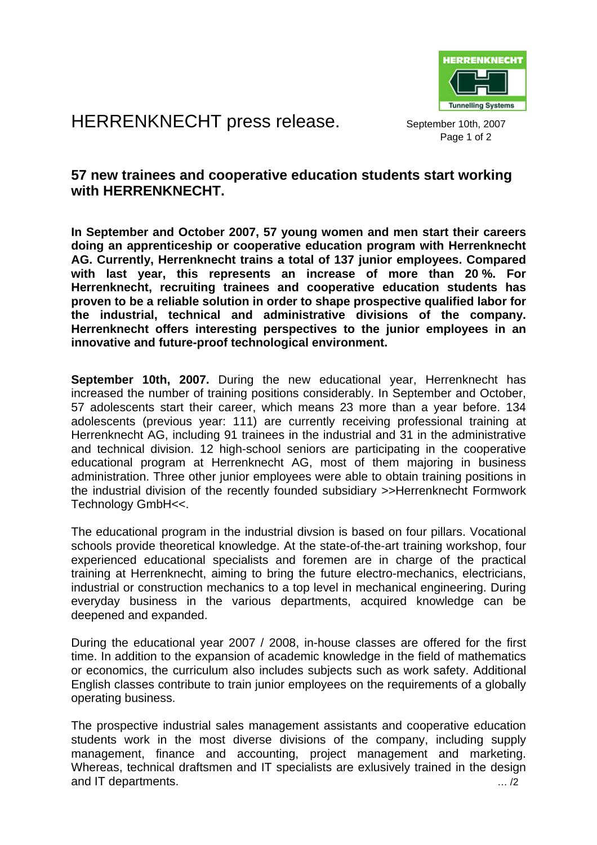

HERRENKNECHT press release. September 10th, 2007

Page 1 of 2

## **57 new trainees and cooperative education students start working with HERRENKNECHT.**

**In September and October 2007, 57 young women and men start their careers doing an apprenticeship or cooperative education program with Herrenknecht AG. Currently, Herrenknecht trains a total of 137 junior employees. Compared with last year, this represents an increase of more than 20 %. For Herrenknecht, recruiting trainees and cooperative education students has proven to be a reliable solution in order to shape prospective qualified labor for the industrial, technical and administrative divisions of the company. Herrenknecht offers interesting perspectives to the junior employees in an innovative and future-proof technological environment.** 

**September 10th, 2007.** During the new educational year, Herrenknecht has increased the number of training positions considerably. In September and October, 57 adolescents start their career, which means 23 more than a year before. 134 adolescents (previous year: 111) are currently receiving professional training at Herrenknecht AG, including 91 trainees in the industrial and 31 in the administrative and technical division. 12 high-school seniors are participating in the cooperative educational program at Herrenknecht AG, most of them majoring in business administration. Three other junior employees were able to obtain training positions in the industrial division of the recently founded subsidiary >>Herrenknecht Formwork Technology GmbH<<.

The educational program in the industrial divsion is based on four pillars. Vocational schools provide theoretical knowledge. At the state-of-the-art training workshop, four experienced educational specialists and foremen are in charge of the practical training at Herrenknecht, aiming to bring the future electro-mechanics, electricians, industrial or construction mechanics to a top level in mechanical engineering. During everyday business in the various departments, acquired knowledge can be deepened and expanded.

During the educational year 2007 / 2008, in-house classes are offered for the first time. In addition to the expansion of academic knowledge in the field of mathematics or economics, the curriculum also includes subjects such as work safety. Additional English classes contribute to train junior employees on the requirements of a globally operating business.

The prospective industrial sales management assistants and cooperative education students work in the most diverse divisions of the company, including supply management, finance and accounting, project management and marketing. Whereas, technical draftsmen and IT specialists are exlusively trained in the design and IT departments.  $\ldots/2$